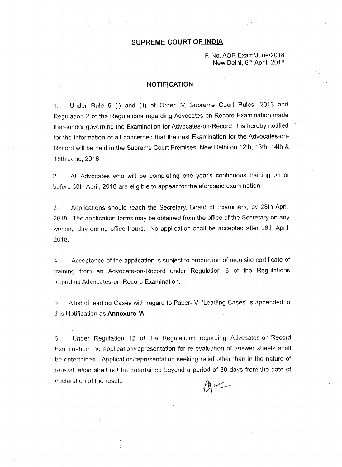F. No. AOR Exam/June/2018 New Delhi, 6<sup>th</sup> April, 2018

#### **NOTIFICATION**

1. Under Rule 5 (i) and (ii) of Order IV, Supreme Court Rules, 2013 and Regulation 2 of the Regulations regarding Advocates-on-Record Examination made thereunder governing the Examination for Advocates-on-Record, it is hereby notified for the information of all concerned that the next Examination for the Advocates-on-Record will be held in the Supreme Court Premises, New Delhi on 12th, 13th, 14th & 15th June, 2018.

2. All Advocates who will be completing one year's continuous training on or before 30th April, 2018 are eligible to appear for the aforesaid examination.

3. Applications should reach the Secretary, Board of Examiners, by 28th April, 2018. The application forms may be obtained from the office of the Secretary on any workinq day during office hours. No application shall be accepted after 28th April, 2018.

4. Acceptance of the application is subject to production of requisite certificate of tralninq from an Advocate-on-Record under Regulation 6 of the Regulations regarding Advocates-on-Record Examination.

5. A list of leading Cases with regard to Paper-IV 'Leading Cases' is appended to this Notification as **Annexure 'A'.**

6. Under Requlation 12 of the Regu!ations regarding Advocates-on-Record Examination, no application/representation for re-evaluation of answer sheets shall be entertained. Application/representation seeking relief other than in the nature of re-evaluation shall not be entertained beyond a period of 30 days from the date of declaration of the result.

gam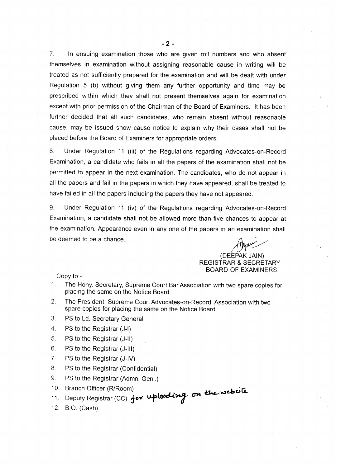7. In ensuing examination those who are given roll numbers and who absent themselves in examination without assigning reasonable cause in writing will be treated as not sufficiently prepared for the examination and will be dealt with under Regulation 5 (b) without giving them any further opportunity and time may be prescribed within which they shall not present themselves again for examination except with prior permission of the Chairman of the Board of Examiners. It has been further decided that all such candidates, who remain absent without reasonable cause, may be issued show cause notice to explain why their cases shall not be placed before the Board of Examiners for appropriate orders.

8. Under Regulation 11 (iii) of the Regulations regarding Advocates-on-Record Examination, a candidate who fails in all the papers of the examination shall not be permitted to appear in the next examination. The candidates, who do not appear in all the papers and fail in the papers in which they have appeared, shall be treated to have failed in all the papers including the papers they have not appeared.

9. Under Regulation 11 (iv) of the Regulations regarding Advocates-on-Record Examination, a candidate shall not be allowed more than five chances to appear at the examination. Appearance even in anyone of the papers in an examination shall be deemed to be a chance.

 ${1}^{\prime\prime\prime}$ (DEEPAK JAIN) REGISTRAR & SECRETARY BOARD OF EXAMINERS

Copy to:-

- 1. The Hony. Secretary, Supreme Court Bar Association with two spare copies for placing the same on the Notice Board
- 2. The President, Supreme Court Advocates-on-Record Association with two spare copies for placing the same on the Notice Board
- 3. PS to Ld. Secretary General
- 4. PS to the Registrar (J-I)
- 5. PS to the Registrar (J-II)
- 6. PS to the Registrar (J-III)
- 7. PS to the Registrar (J-IV)
- 8. PS to the Registrar (Confidential)
- 9. PS to the Registrar (Admn. Genl.)
- 10. Branch Officer (R/Room)  $\mathbf{1}$   $\mathbf{1}$   $\mathbf{1}$   $\mathbf{1}$   $\mathbf{1}$   $\mathbf{1}$   $\mathbf{1}$   $\mathbf{1}$   $\mathbf{1}$   $\mathbf{1}$
- 11. Deputy Registrar (CC) for uploeding
- 12. B.O. (Cash)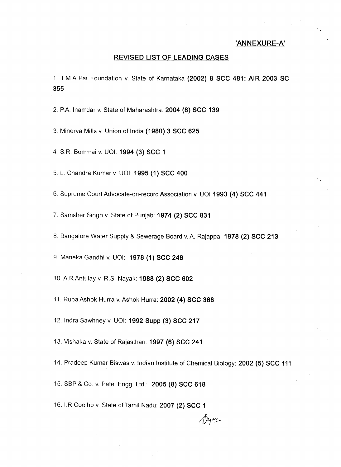# **'ANNEXURE-A'**

#### **REVISED LIST OF LEADING CASES**

1. T.M.A Pai Foundation v. State of Karnataka **(2002) 8 see 481: AIR 2003 se 355**

2. P.A Inamdar v. State of Maharashtra: **2004 (8) see 139**

3. Minerva Mills v. Union of India **(1980) 3 see 625**

4. S.R. Bommai v. UOI: **1994 (3) see 1**

5. L. Chandra Kumar v. UOI: **1995 (1) see 400**

6. Supreme Court Advocate-an-record Association v. UOI **1993 (4) see 441**

7. Samsher Singh v. State of Punjab: **1974 (2) see 831**

8. Bangalore Water Supply & Sewerage Board v. <sup>A</sup> Rajappa: **1978 (2) see 213**

9. Maneka Gandhi v. UOI: **1978 (1) see 248**

10. ARAntulay v. R.S. Nayak: **1988 (2) see 602**

11. Rupa Ashok Hurra v. Ashok Hurra: **2002 (4) sce 388**

12. Indra Sawhney v. UOI: **1992 Supp (3) see 217**

13. Vishaka v. State of Rajasthan: **1997 (6) see 241**

14. Pradeep Kumar Biswas v. Indian Institute of Chemical Biology: **2002 (5) see 111**

Dyan-

15. SBP & Co. v. Patel Engg. Ltd.: **2005 (8) sec 618**

16. I.R Coelho v. State of Tamil Nadu: **2007 (2) see 1**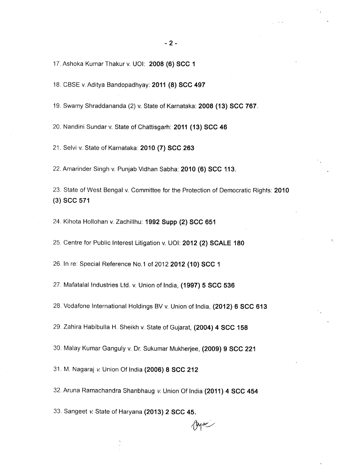17. Ashoka Kumar Thakur v. UOI: **2008 (6) sec 1**

18. CBSE v.Aditya Bandopadhyay: **2011 (8) sec 497**

19. Swamy Shraddananda (2) v. State of Karnataka: **2008 (13) sec** 767.

20. Nandini Sundar v. State of Chattisgarh: **2011 (13) sec 46**

21. Selvi v. State of Karnataka: **2010 (7) sec 263**

22. Amarinder Singh v. Punjab Vidhan Sabha: **2010 (6) sec** 113.

23. State of West Bengal v. Committee for the Protection of Democratic Rights: **2010** (3) **sec 571**

24. Kihota Hollohan v. Zachillhu: **1992 Supp (2) sec 651**

25. Centre for Public Interest Litigation v. UOI: **2012 (2) SCALE 180**

26. In re: Special Reference NO.1of **20122012 (10) sec 1**

27. Mafatalal Industries Ltd. v. Union of India, **(1997) 5 sec 536**

28. Vodafone International Holdings BV v. Union of India, **(2012) 6 sec 613**

29. Zahira Habibulla H. Sheikh v. State of Gujarat, **(2004) 4 sec 158**

30. Malay Kumar Ganguly v. Dr. Sukumar Mukherjee, **(2009) 9 sec 221**

31. M. Nagaraj *v.* Union Of India **(2006) 8 sec 212**

32. Aruna Ramachandra Shanbhaug v. Union Of India **(2011) 4 sec 454**

*r&i.vj*

33. Sangeet *v.* State of Haryana **(2013) 2 sec** 45.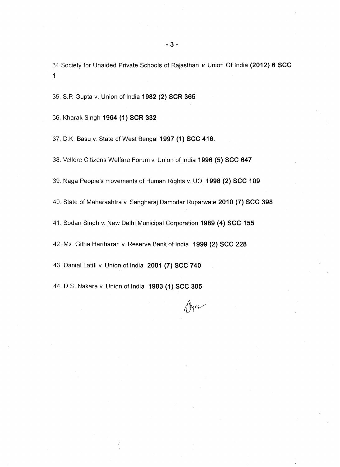34.Society for Unaided Private Schools of Rajasthan v. Union Of India **(2012) 6 see** 1

35. S.P. Gupta v. Union of India **1982 (2) SeR 365**

36. Kharak Singh **1964 (1) SeR 332**

37. O.K. Basu v. State of West Bengal **1997 (1) see** 416.

38. Vellore Citizens Welfare Forum v. Union of India **1996 (5) see 647**

39. Naga People's movements of Human Rights v. UOI **1998 (2) see 109**

40. State of Maharashtra v. Sangharaj Damodar Ruparwate **2010 (7) see 398**

41. Sodan Singh v. New Delhi Municipal Corporation **1989 (4) see 155**

42. Ms. Githa Hariharan v. Reserve Bank of India **1999 (2) see 228**

43. Danial Latifi v. Union of India **2001 (7) see 740**

44. D.S. Nakara v. Union of India **1983 (1) see 305**

Ayer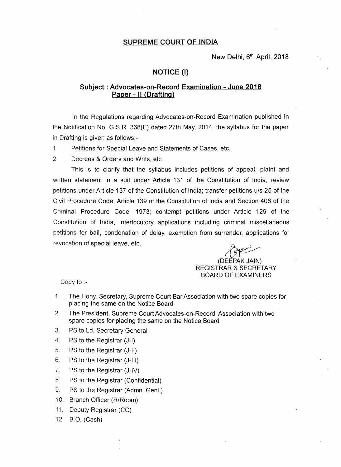New Delhi, 6<sup>th</sup> April, 2018

### **NOTICE (I)**

# **Subject: Advocates-on-Record Examination - June 2018 Paper - " (Drafting)**

In the Regulations regarding Advocates-on-Record Examination published in the Notification No. G.S.R. 368(E) dated 27th May, 2014, the syllabus for the paper in Drafting is given as follows:-

- 1. Petitions for Special Leave and Statements of Cases, etc.
- 2. Decrees & Orders and Writs, etc.

This is to clarify that the syllabus includes petitions of appeal, plaint and written statement in a suit under Article 131 of the Constitution of India; review petitions under Article 137 of the Constitution of India; transfer petitions u/s 25 of the Civil Procedure Code; Article 139 of the Constitution of India and Section 406 of the Criminal Procedure Code, 1973; contempt petitions under Article 129 of the Constitution of India, interlocutory applications including criminal miscellaneous petitions for bail, condonation of delay, exemption from surrender, applications for revocation of special leave, etc.

COMPANY<br>(DEEPAK JAIN)

#### REGISTRAR & SECRETARY BOARD OF EXAMINERS

Copy to :-

- 1. The Hony. Secretary, Supreme Court Bar Association with two spare copies for placing the same on the Notice Board
- 2. The President, Supreme Court Advocates-on-Record Association with two spare copies for placing the same on the Notice Board
- 3. PS to Ld. Secretary General
- 4. PS to the Registrar (J-I)
- 5. PS to the Registrar (J-II)
- 6. PS to the Registrar (J-III)
- 7. PS to the Registrar (J-IV)
- 8. PS to the Registrar (Confidential)
- 9. PS to the Registrar (Admn. Genl.)
- 10. Branch Officer (R/Room)
- 11. Deputy Registrar (CC)
- 12. B.O. (Cash)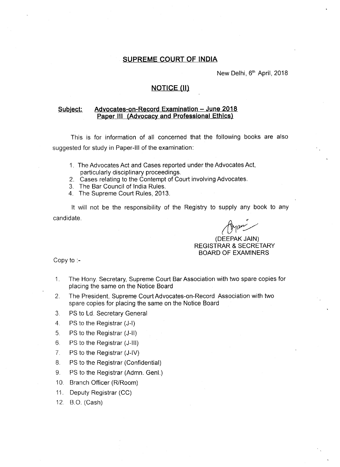New Delhi, 6<sup>th</sup> April, 2018

## **NOTICE (II)**

## **Subject: Advocates-on-Record Examination - June 2018 Paper III (Advocacy and Professional Ethics)**

This is for information of all concerned that the following books are also suggested for study in Paper-III of the examination:

- 1. The Advocates Act and Cases reported under the Advocates Act, particularly disciplinary proceedings.
- 2. Cases relating to the Contempt of Court involving Advocates.
- 3. The Bar Council of India Rules.
- 4. The Supreme Court Rules, 2013.

It will not be the responsibility of the Registry to supply any book to any candidate. *rotation* 

#### (DEEPAK JAIN) REGISTRAR & SECRETARY BOARD OF EXAMINERS

Copy to :-

- 1. The Hony. Secretary, Supreme Court Bar Association with two spare copies for placing the same on the Notice Board
- 2. The President, Supreme Court Advocates-on-Record Association with two spare copies for placing the same on the Notice Board
- 3. PS to Ld. Secretary General
- 4. PS to the Registrar (J-I)
- 5. PS to the Registrar (J-II)
- 6. PS to the Registrar (J-III)
- 7. PS to the Registrar (J-IV)
- 8. PS to the Registrar (Confidential)
- 9. PS to the Registrar (Admn. Genl.)
- 10. Branch Officer (R/Room)
- 11. Deputy Registrar (CC)
- 12. B.O. (Cash)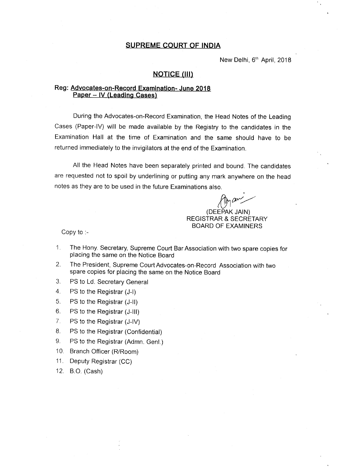New Delhi, 6<sup>th</sup> April, 2018

## **NOTICE (III)**

## Reg: **Advocates-on-Record Examination- June 2018 Paper - IV (Leading Cases)**

During the Advocates-on-Record Examination, the Head Notes of the Leading Cases (Paper-IV) will be made available by the Registry to the candidates in the Examination Hall at the time of Examination and the same should have to be returned immediately to the invigilators at the end of the Examination.

All the Head Notes have been separately printed and bound. The candidates are requested not to spoil by underlining or putting any mark anywhere on the head notes as they are to be used in the future Examinations also.

*~rr/* (DEEPAK JAIN)

REGISTRAR & SECRETARY BOARD OF EXAMINERS

Copy to :-

- 1. The Hony. Secretary, Supreme Court Bar Association with two spare copies for placing the same on the Notice Board
- 2. The President, Supreme Court Advocates-on-Record Association with two spare copies for placing the same on the Notice Board
- 3. PS to Ld. Secretary General
- 4. PS to the Registrar (J-I)
- 5. PS to the Registrar (J-II)
- 6. PS to the Registrar (J-III)
- 7. PS to the Registrar (J-IV)
- 8. PS to the Registrar (Confidential)
- 9. PS to the Registrar (Admn. Genl.)
- 10. Branch Officer (R/Room)
- 11. Deputy Registrar (CC)
- 12. B.O. (Cash)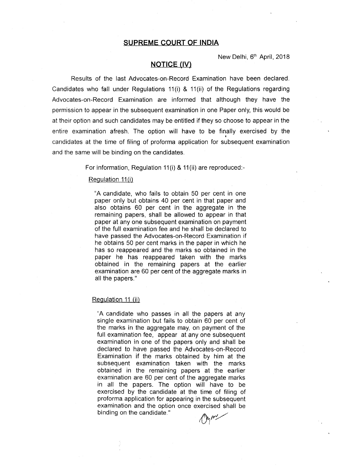New Delhi, 6<sup>th</sup> April, 2018

#### **NOTICE (IV)**

Results of the last Advocates-on-Record Examination have been declared. Candidates who fall under Regulations 11(i) & 11(ii) of the Regulations regarding Advocates-on-Record Examination are informed that although they have the permission to appear in the subsequent examination in one Paper only, this would be at their option and such candidates may be entitled if they so choose to appear in the entire examination afresh. The option will have to be finally exercised by the • candidates at the time of filing of proforma application for subsequent examination and the same will be binding on the candidates.

For information, Regulation 11(i) & 11(ii) are reproduced:-

#### Regulation 11(i)

"A candidate, who fails to obtain 50 per cent in one paper only but obtains 40 per cent in that paper and also obtains 60 per cent in the aggregate in the remaining papers, shall be allowed to appear in that paper at any one subsequent examination on payment of the full examination fee and he shall be declared to have passed the Advocates-on-Record Examination if he obtains 50 per cent marks in the paper in which he has so reappeared and the marks so obtained in the paper he has reappeared taken with the marks obtained in the remaining papers at the earlier examination are 60 per cent of the aggregate marks in all the papers."

#### Regulation 11 (ii)

"A candidate who passes in all the papers at any single examination but fails to obtain 60 per cent of the marks in the aggregate may, on payment of the full examination fee, appear at any one subsequent examination in one of the papers only and shall be declared to have passed the Advocates-on-Record Examination if the marks obtained by him at the subsequent examination taken with the marks obtained in the remaining papers at the earlier examination are 60 per cent of the aggregate marks in all the papers. The option will have to be exercised by the candidate at the time of filing of proforma application for appearing in the subsequent examination and the option once exercised shall be binding on the candidate."